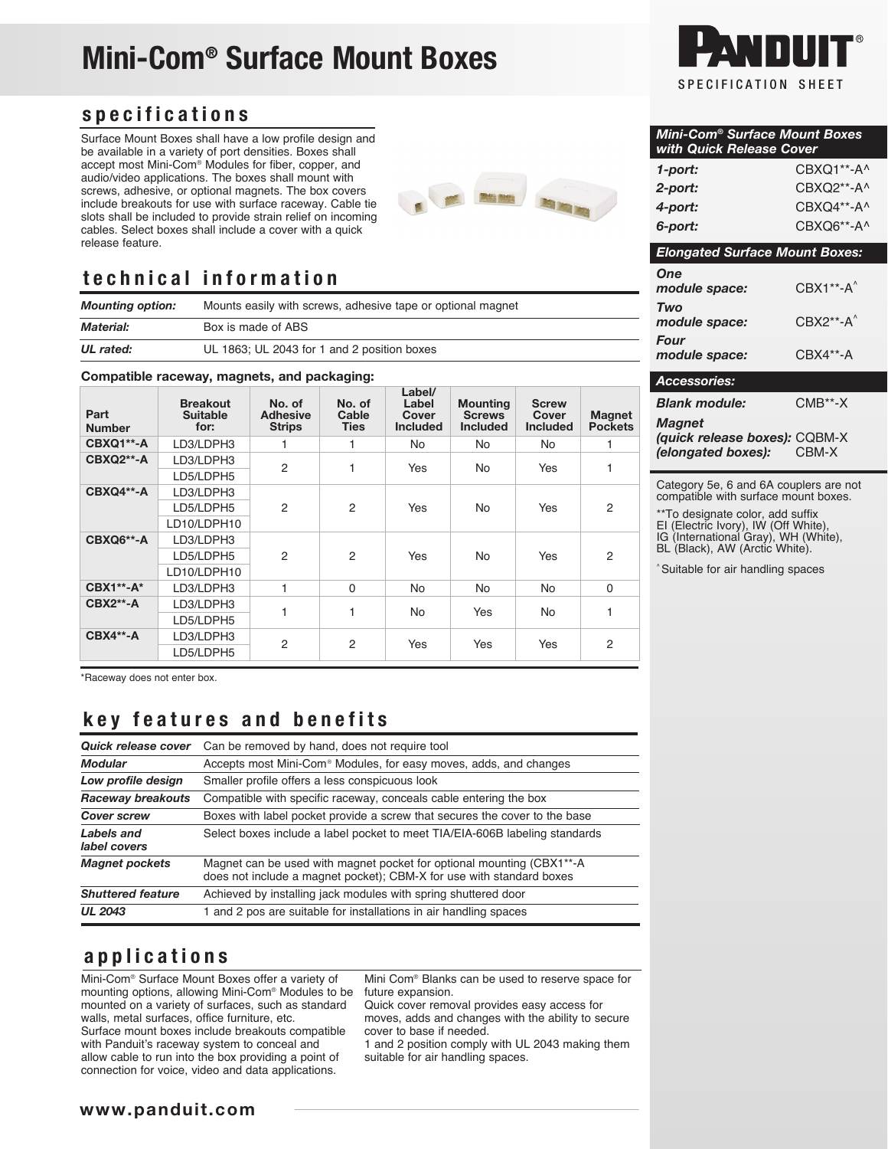# Mini-Com® Surface Mount Boxes

#### specifications

Surface Mount Boxes shall have a low profile design and be available in a variety of port densities. Boxes shall accept most Mini-Com® Modules for fiber, copper, and audio/video applications. The boxes shall mount with screws, adhesive, or optional magnets. The box covers include breakouts for use with surface raceway. Cable tie slots shall be included to provide strain relief on incoming cables. Select boxes shall include a cover with a quick release feature.



### technical information

*Mounting option:* Mounts easily with screws, adhesive tape or optional magnet *Material:* Box is made of ABS *UL rated:* UL 1863; UL 2043 for 1 and 2 position boxes

#### Compatible raceway, magnets, and packaging:

| Part<br><b>Number</b> | <b>Breakout</b><br><b>Suitable</b><br>for: | No. of<br><b>Adhesive</b><br><b>Strips</b> | No. of<br>Cable<br><b>Ties</b> | Label/<br>Label<br>Cover<br><b>Included</b> | <b>Mounting</b><br><b>Screws</b><br><b>Included</b> | <b>Screw</b><br>Cover<br><b>Included</b> | <b>Magnet</b><br><b>Pockets</b> |
|-----------------------|--------------------------------------------|--------------------------------------------|--------------------------------|---------------------------------------------|-----------------------------------------------------|------------------------------------------|---------------------------------|
| CBXQ1**-A             | LD3/LDPH3                                  |                                            | 1                              | <b>No</b>                                   | <b>No</b>                                           | No.                                      |                                 |
| CBXQ2**-A             | LD3/LDPH3<br>LD5/LDPH5                     | $\overline{2}$                             | 1                              | Yes                                         | <b>No</b>                                           | Yes                                      |                                 |
| CBXQ4**-A             | LD3/LDPH3<br>LD5/LDPH5<br>LD10/LDPH10      | $\overline{2}$                             | $\overline{2}$                 | Yes                                         | <b>No</b>                                           | Yes                                      | $\overline{2}$                  |
| CBXQ6**-A             | LD3/LDPH3<br>LD5/LDPH5<br>LD10/LDPH10      | $\mathcal{P}$                              | 2                              | Yes                                         | <b>No</b>                                           | Yes                                      | 2                               |
| <b>CBX1**-A*</b>      | LD3/LDPH3                                  | 1                                          | $\Omega$                       | <b>No</b>                                   | <b>No</b>                                           | <b>No</b>                                | $\Omega$                        |
| <b>CBX2**-A</b>       | LD3/LDPH3<br>LD5/LDPH5                     | 1                                          | 1                              | <b>No</b>                                   | Yes                                                 | No.                                      |                                 |
| <b>CBX4**-A</b>       | LD3/LDPH3<br>LD5/LDPH5                     | $\overline{c}$                             | 2                              | Yes                                         | Yes                                                 | Yes                                      | 2                               |

\*Raceway does not enter box.

### key features and benefits

| Quick release cover        | Can be removed by hand, does not require tool                                                                                                 |  |  |  |  |
|----------------------------|-----------------------------------------------------------------------------------------------------------------------------------------------|--|--|--|--|
| <b>Modular</b>             | Accepts most Mini-Com <sup>®</sup> Modules, for easy moves, adds, and changes                                                                 |  |  |  |  |
| Low profile design         | Smaller profile offers a less conspicuous look                                                                                                |  |  |  |  |
| Raceway breakouts          | Compatible with specific raceway, conceals cable entering the box                                                                             |  |  |  |  |
| <b>Cover screw</b>         | Boxes with label pocket provide a screw that secures the cover to the base                                                                    |  |  |  |  |
| Labels and<br>label covers | Select boxes include a label pocket to meet TIA/EIA-606B labeling standards                                                                   |  |  |  |  |
| <b>Magnet pockets</b>      | Magnet can be used with magnet pocket for optional mounting (CBX1**-A<br>does not include a magnet pocket); CBM-X for use with standard boxes |  |  |  |  |
| <b>Shuttered feature</b>   | Achieved by installing jack modules with spring shuttered door                                                                                |  |  |  |  |
| <b>UL 2043</b>             | 1 and 2 pos are suitable for installations in air handling spaces                                                                             |  |  |  |  |

#### applications

Mini-Com® Surface Mount Boxes offer a variety of mounting options, allowing Mini-Com® Modules to be mounted on a variety of surfaces, such as standard walls, metal surfaces, office furniture, etc. Surface mount boxes include breakouts compatible with Panduit's raceway system to conceal and allow cable to run into the box providing a point of connection for voice, video and data applications.

Mini Com® Blanks can be used to reserve space for future expansion.

Quick cover removal provides easy access for moves, adds and changes with the ability to secure cover to base if needed.

1 and 2 position comply with UL 2043 making them suitable for air handling spaces.



| Mini-Com® Surface Mount Boxes<br>with Quick Release Cover |                         |  |  |  |  |  |
|-----------------------------------------------------------|-------------------------|--|--|--|--|--|
| 1-port:                                                   | CBXQ1**-A^              |  |  |  |  |  |
| 2-port:                                                   | CBXQ2**-A^              |  |  |  |  |  |
| 4-port:                                                   | CBXQ4**-A^              |  |  |  |  |  |
| 6-port:                                                   | CBXQ6**-A^              |  |  |  |  |  |
| <b>Elongated Surface Mount Boxes:</b>                     |                         |  |  |  |  |  |
| One<br>module space:                                      | $CRX1***A'$             |  |  |  |  |  |
| Two<br>module space:                                      | $CBX2***A$ <sup>^</sup> |  |  |  |  |  |
| <b>Four</b><br>module space:                              | CBX4**-A                |  |  |  |  |  |
| Accessories:                                              |                         |  |  |  |  |  |
| <b>Blank module:</b>                                      | CMB**-X                 |  |  |  |  |  |
|                                                           |                         |  |  |  |  |  |

*Magnet (quick release boxes):* CQBM-X *(elongated boxes):* 

Category 5e, 6 and 6A couplers are not compatible with surface mount boxes.

\*\*To designate color, add suffix EI (Electric Ivory), IW (Off White),

IG (International Gray), WH (White),

BL (Black), AW (Arctic White).

^ Suitable for air handling spaces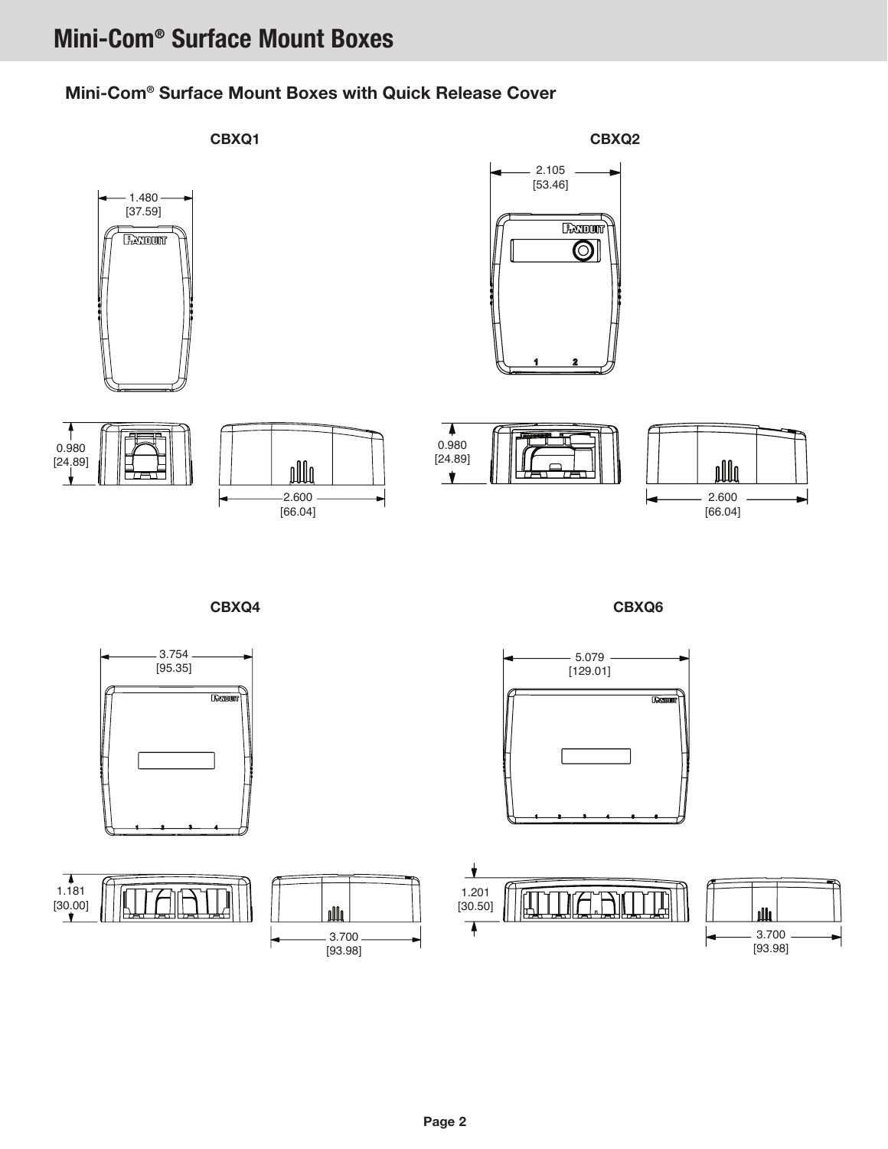## Mini-Com® Surface Mount Boxes

#### Mini-Com® Surface Mount Boxes with Quick Release Cover